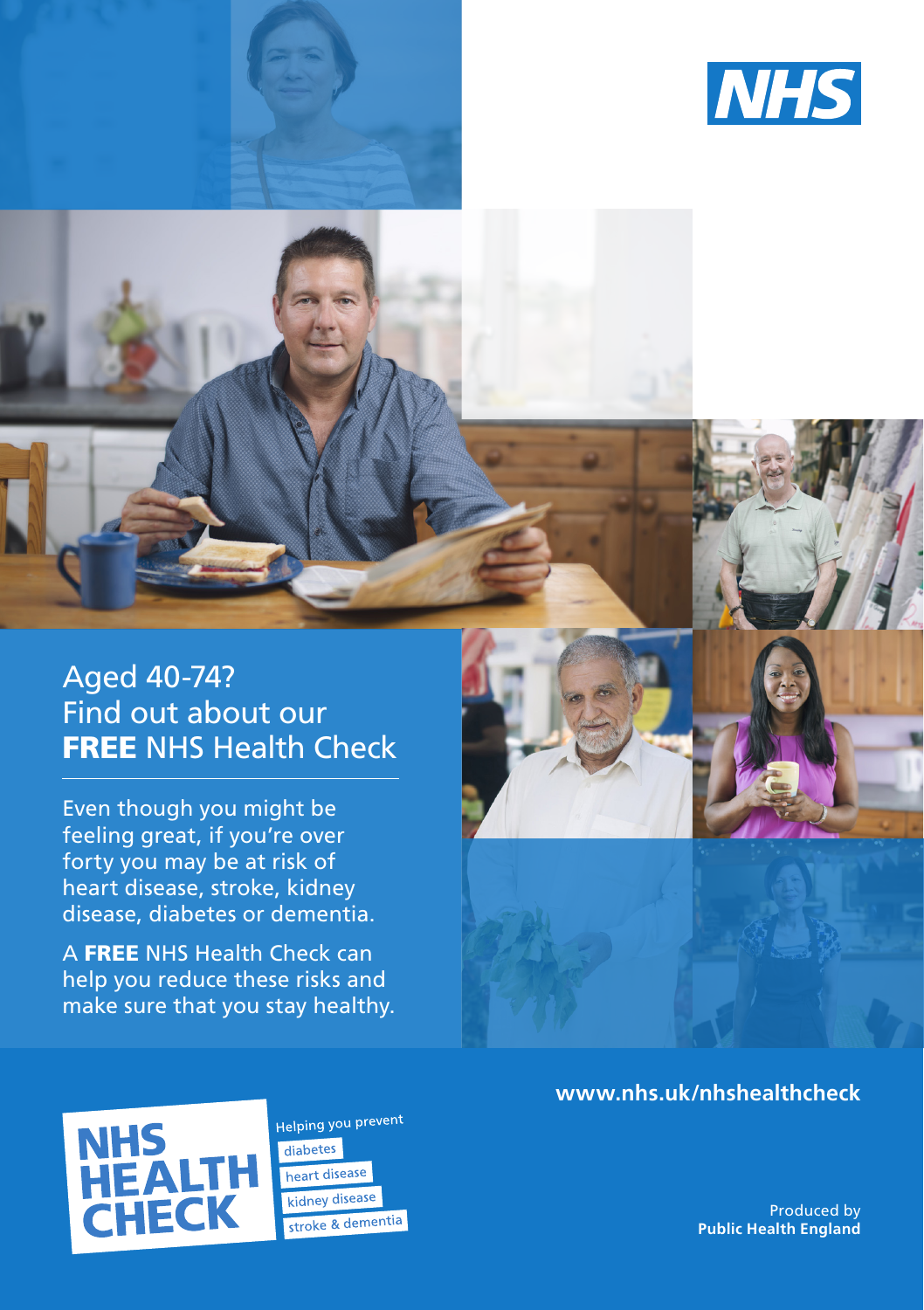



Even though you might be feeling great, if you're over forty you may be at risk of heart disease, stroke, kidney disease, diabetes or dementia.

A FREE NHS Health Check can help you reduce these risks and make sure that you stay healthy.





Helping you prevent diabetes heart disease kidney disease stroke & dementia

Produced by **Public Health England**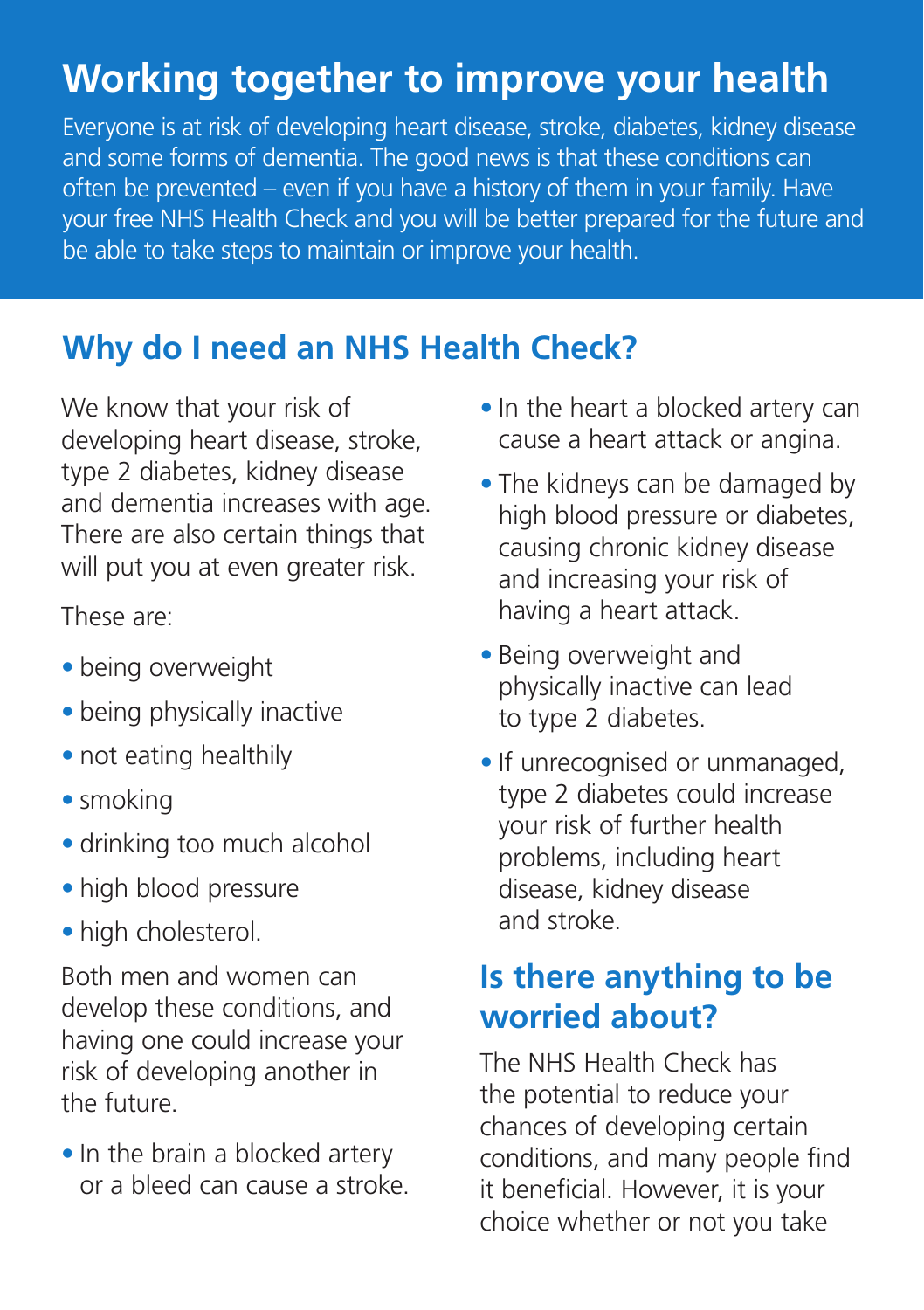## **Working together to improve your health**

Everyone is at risk of developing heart disease, stroke, diabetes, kidney disease and some forms of dementia. The good news is that these conditions can often be prevented – even if you have a history of them in your family. Have your free NHS Health Check and you will be better prepared for the future and be able to take steps to maintain or improve your health.

### **Why do I need an NHS Health Check?**

We know that your risk of developing heart disease, stroke, type 2 diabetes, kidney disease and dementia increases with age. There are also certain things that will put you at even greater risk.

These are:

- **•** being overweight
- **•** being physically inactive
- **•** not eating healthily
- **•** smoking
- **•** drinking too much alcohol
- **•** high blood pressure
- **•** high cholesterol.

Both men and women can develop these conditions, and having one could increase your risk of developing another in the future.

• In the brain a blocked artery or a bleed can cause a stroke.

- **•** In the heart a blocked artery can cause a heart attack or angina.
- **•** The kidneys can be damaged by high blood pressure or diabetes, causing chronic kidney disease and increasing your risk of having a heart attack.
- **•** Being overweight and physically inactive can lead to type 2 diabetes.
- **•** If unrecognised or unmanaged, type 2 diabetes could increase your risk of further health problems, including heart disease, kidney disease and stroke.

## **Is there anything to be worried about?**

The NHS Health Check has the potential to reduce your chances of developing certain conditions, and many people find it beneficial. However, it is your choice whether or not you take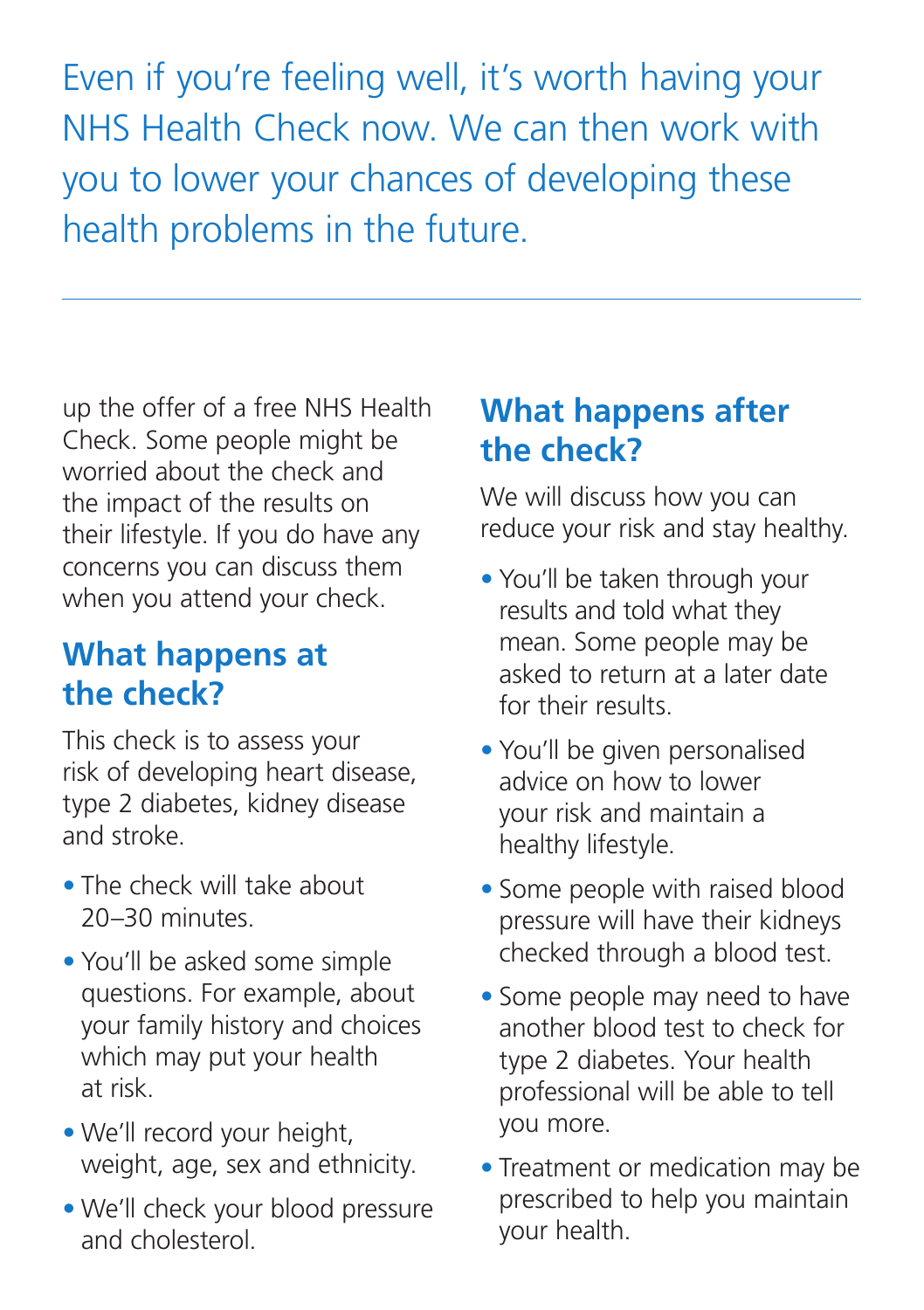Even if you're feeling well, it's worth having your NHS Health Check now. We can then work with you to lower your chances of developing these health problems in the future.

up the offer of a free NHS Health Check. Some people might be worried about the check and the impact of the results on their lifestyle. If you do have any concerns you can discuss them when you attend your check.

## **What happens at the check?**

This check is to assess your risk of developing heart disease, type 2 diabetes, kidney disease and stroke.

- **•** The check will take about 20–30 minutes.
- **•** You'll be asked some simple questions. For example, about your family history and choices which may put your health at risk.
- **•** We'll record your height, weight, age, sex and ethnicity.
- **•** We'll check your blood pressure and cholesterol.

## **What happens after the check?**

We will discuss how you can reduce your risk and stay healthy.

- **•** You'll be taken through your results and told what they mean. Some people may be asked to return at a later date for their results.
- **•** You'll be given personalised advice on how to lower your risk and maintain a healthy lifestyle.
- **•** Some people with raised blood pressure will have their kidneys checked through a blood test.
- **•** Some people may need to have another blood test to check for type 2 diabetes. Your health professional will be able to tell you more.
- **•** Treatment or medication may be prescribed to help you maintain your health.